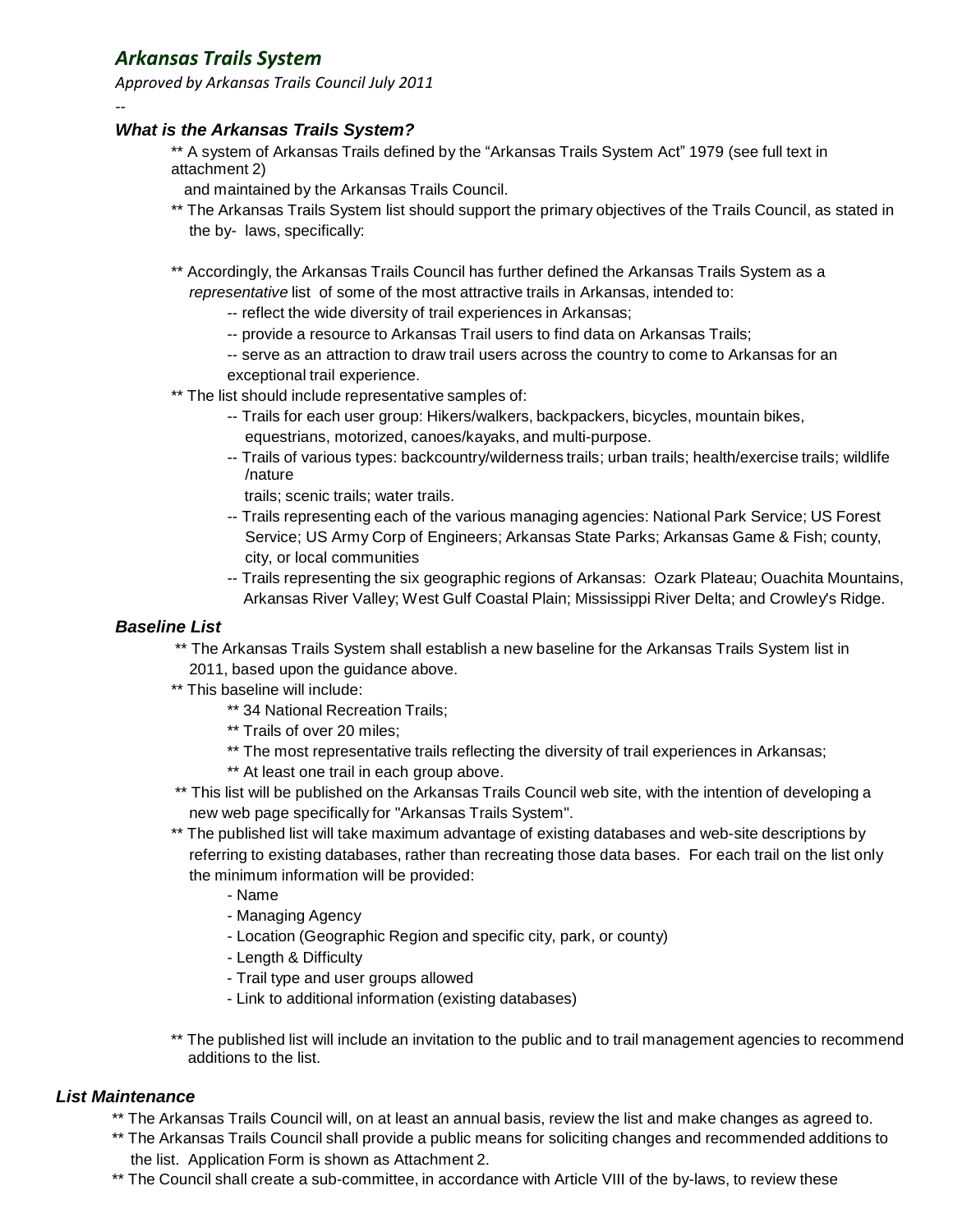# *Arkansas Trails System*

*--*

*Approved by Arkansas Trails Council July 2011*

## *What is the Arkansas Trails System?*

- \*\* A system of Arkansas Trails defined by the "Arkansas Trails System Act" 1979 (see full text in attachment 2)
- and maintained by the Arkansas Trails Council.
- \*\* The Arkansas Trails System list should support the primary objectives of the Trails Council, as stated in the by- laws, specifically:
- \*\* Accordingly, the Arkansas Trails Council has further defined the Arkansas Trails System as a *representative* list of some of the most attractive trails in Arkansas, intended to:
	- -- reflect the wide diversity of trail experiences in Arkansas;
	- -- provide a resource to Arkansas Trail users to find data on Arkansas Trails;
	- -- serve as an attraction to draw trail users across the country to come to Arkansas for an exceptional trail experience.
- \*\* The list should include representative samples of:
	- -- Trails for each user group: Hikers/walkers, backpackers, bicycles, mountain bikes, equestrians, motorized, canoes/kayaks, and multi-purpose.
	- -- Trails of various types: backcountry/wilderness trails; urban trails; health/exercise trails; wildlife /nature
		- trails; scenic trails; water trails.
	- -- Trails representing each of the various managing agencies: National Park Service; US Forest Service; US Army Corp of Engineers; Arkansas State Parks; Arkansas Game & Fish; county, city, or local communities
	- -- Trails representing the six geographic regions of Arkansas: Ozark Plateau; Ouachita Mountains, Arkansas River Valley; West Gulf Coastal Plain; Mississippi River Delta; and Crowley's Ridge.

## *Baseline List*

- \*\* The Arkansas Trails System shall establish a new baseline for the Arkansas Trails System list in
- 2011, based upon the guidance above.
- \*\* This baseline will include:
	- \*\* 34 National Recreation Trails;
	- \*\* Trails of over 20 miles;
	- \*\* The most representative trails reflecting the diversity of trail experiences in Arkansas;
	- \*\* At least one trail in each group above.
- \*\* This list will be published on the Arkansas Trails Council web site, with the intention of developing a new web page specifically for "Arkansas Trails System".
- \*\* The published list will take maximum advantage of existing databases and web-site descriptions by referring to existing databases, rather than recreating those data bases. For each trail on the list only the minimum information will be provided:
	- Name
	- Managing Agency
	- Location (Geographic Region and specific city, park, or county)
	- Length & Difficulty
	- Trail type and user groups allowed
	- Link to additional information (existing databases)
- \*\* The published list will include an invitation to the public and to trail management agencies to recommend additions to the list.

## *List Maintenance*

- \*\* The Arkansas Trails Council will, on at least an annual basis, review the list and make changes as agreed to.
- \*\* The Arkansas Trails Council shall provide a public means for soliciting changes and recommended additions to the list. Application Form is shown as Attachment 2.
- \*\* The Council shall create a sub-committee, in accordance with Article VIII of the by-laws, to review these